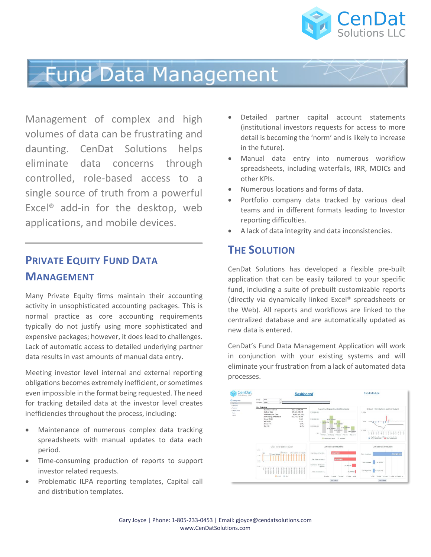

# **Fund Data Management**

Management of complex and high volumes of data can be frustrating and daunting. CenDat Solutions helps eliminate data concerns through controlled, role-based access to a single source of truth from a powerful Excel® add-in for the desktop, web applications, and mobile devices.

### **PRIVATE EQUITY FUND DATA MANAGEMENT**

Many Private Equity firms maintain their accounting activity in unsophisticated accounting packages. This is normal practice as core accounting requirements typically do not justify using more sophisticated and expensive packages; however, it does lead to challenges. Lack of automatic access to detailed underlying partner data results in vast amounts of manual data entry.

Meeting investor level internal and external reporting obligations becomes extremely inefficient, or sometimes even impossible in the format being requested. The need for tracking detailed data at the investor level creates inefficiencies throughout the process, including:

- Maintenance of numerous complex data tracking spreadsheets with manual updates to data each period.
- Time-consuming production of reports to support investor related requests.
- Problematic ILPA reporting templates, Capital call and distribution templates.
- Detailed partner capital account statements (institutional investors requests for access to more detail is becoming the 'norm' and is likely to increase in the future).
- Manual data entry into numerous workflow spreadsheets, including waterfalls, IRR, MOICs and other KPIs.
- Numerous locations and forms of data.
- Portfolio company data tracked by various deal teams and in different formats leading to Investor reporting difficulties.
- A lack of data integrity and data inconsistencies.

### **THE SOLUTION**

CenDat Solutions has developed a flexible pre-built application that can be easily tailored to your specific fund, including a suite of prebuilt customizable reports (directly via dynamically linked Excel® spreadsheets or the Web). All reports and workflows are linked to the centralized database and are automatically updated as new data is entered.

CenDat's Fund Data Management Application will work in conjunction with your existing systems and will eliminate your frustration from a lack of automated data processes.